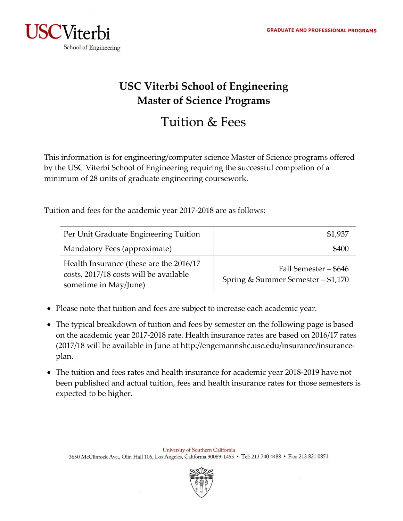

## **USC Viterbi School of Engineering Master of Science Programs**

## Tuition & Fees

This information is for engineering/computer science Master of Science programs offered by the USC Viterbi School of Engineering requiring the successful completion of a minimum of 28 units of graduate engineering coursework.

Tuition and fees for the academic year 2017‐2018 are as follows:

| Per Unit Graduate Engineering Tuition                                                                      | \$1,937                                                     |
|------------------------------------------------------------------------------------------------------------|-------------------------------------------------------------|
| Mandatory Fees (approximate)                                                                               | \$400                                                       |
| Health Insurance (these are the 2016/17<br>costs, 2017/18 costs will be available<br>sometime in May/June) | Fall Semester – \$646<br>Spring & Summer Semester - \$1,170 |

- Please note that tuition and fees are subject to increase each academic year.
- The typical breakdown of tuition and fees by semester on the following page is based on the academic year 2017‐2018 rate. Health insurance rates are based on 2016/17 rates (2017/18 will be available in June at http://engemannshc.usc.edu/insurance/insurance‐ plan.
- The tuition and fees rates and health insurance for academic year 2018‐2019 have not been published and actual tuition, fees and health insurance rates for those semesters is expected to be higher.